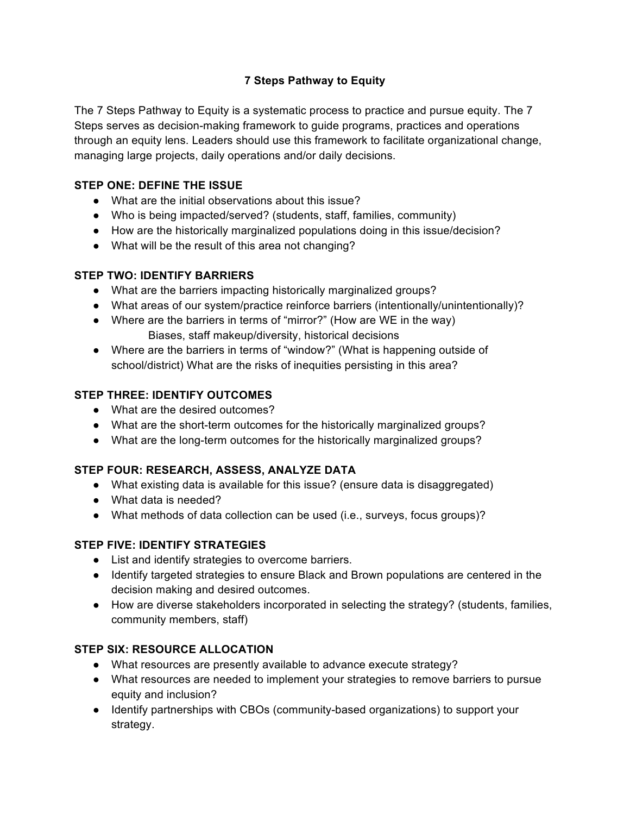### **7 Steps Pathway to Equity**

The 7 Steps Pathway to Equity is a systematic process to practice and pursue equity. The 7 Steps serves as decision-making framework to guide programs, practices and operations through an equity lens. Leaders should use this framework to facilitate organizational change, managing large projects, daily operations and/or daily decisions.

#### **STEP ONE: DEFINE THE ISSUE**

- What are the initial observations about this issue?
- Who is being impacted/served? (students, staff, families, community)
- How are the historically marginalized populations doing in this issue/decision?
- What will be the result of this area not changing?

### **STEP TWO: IDENTIFY BARRIERS**

- What are the barriers impacting historically marginalized groups?
- What areas of our system/practice reinforce barriers (intentionally/unintentionally)?
- Where are the barriers in terms of "mirror?" (How are WE in the way) Biases, staff makeup/diversity, historical decisions
- Where are the barriers in terms of "window?" (What is happening outside of school/district) What are the risks of inequities persisting in this area?

### **STEP THREE: IDENTIFY OUTCOMES**

- What are the desired outcomes?
- What are the short-term outcomes for the historically marginalized groups?
- What are the long-term outcomes for the historically marginalized groups?

# **STEP FOUR: RESEARCH, ASSESS, ANALYZE DATA**

- What existing data is available for this issue? (ensure data is disaggregated)
- What data is needed?
- What methods of data collection can be used (i.e., surveys, focus groups)?

# **STEP FIVE: IDENTIFY STRATEGIES**

- List and identify strategies to overcome barriers.
- Identify targeted strategies to ensure Black and Brown populations are centered in the decision making and desired outcomes.
- How are diverse stakeholders incorporated in selecting the strategy? (students, families, community members, staff)

# **STEP SIX: RESOURCE ALLOCATION**

- What resources are presently available to advance execute strategy?
- What resources are needed to implement your strategies to remove barriers to pursue equity and inclusion?
- Identify partnerships with CBOs (community-based organizations) to support your strategy.